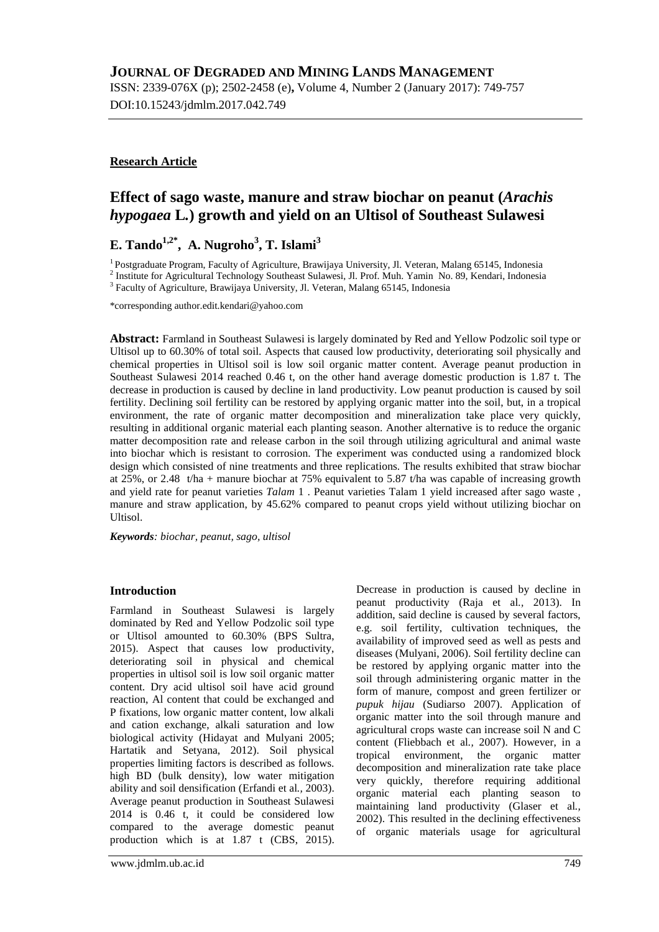ISSN: 2339-076X (p); 2502-2458 (e)**,** Volume 4, Number 2 (January 2017): 749-757 DOI:10.15243/jdmlm.2017.042.749

## **Research Article**

# **Effect of sago waste, manure and straw biochar on peanut (***Arachis hypogaea* **L***.***) growth and yield on an Ultisol of Southeast Sulawesi**

# **E. Tando1,2\* , A. Nugroho<sup>3</sup> , T. Islami<sup>3</sup>**

<sup>1</sup> Postgraduate Program, Faculty of Agriculture, Brawijaya University, Jl. Veteran, Malang 65145, Indonesia <sup>2</sup> Institute for Agricultural Technology Southeast Sulawesi, Jl. Prof. Muh. Yamin No. 89, Kendari, Indonesia

<sup>3</sup> Faculty of Agriculture, Brawijaya University, Jl. Veteran, Malang 65145, Indonesia

\*corresponding author.edit.kendari@yahoo.com

**Abstract:** Farmland in Southeast Sulawesi is largely dominated by Red and Yellow Podzolic soil type or Ultisol up to 60.30% of total soil. Aspects that caused low productivity, deteriorating soil physically and chemical properties in Ultisol soil is low soil organic matter content. Average peanut production in Southeast Sulawesi 2014 reached 0.46 t, on the other hand average domestic production is 1.87 t. The decrease in production is caused by decline in land productivity. Low peanut production is caused by soil fertility. Declining soil fertility can be restored by applying organic matter into the soil, but, in a tropical environment, the rate of organic matter decomposition and mineralization take place very quickly, resulting in additional organic material each planting season. Another alternative is to reduce the organic matter decomposition rate and release carbon in the soil through utilizing agricultural and animal waste into biochar which is resistant to corrosion. The experiment was conducted using a randomized block design which consisted of nine treatments and three replications. The results exhibited that straw biochar at 25%, or 2.48 t/ha + manure biochar at 75% equivalent to 5.87 t/ha was capable of increasing growth and yield rate for peanut varieties *Talam* 1 . Peanut varieties Talam 1 yield increased after sago waste , manure and straw application, by 45.62% compared to peanut crops yield without utilizing biochar on Ultisol.

*Keywords: biochar, peanut, sago, ultisol*

## **Introduction**

Farmland in Southeast Sulawesi is largely dominated by Red and Yellow Podzolic soil type or Ultisol amounted to 60.30% (BPS Sultra, 2015). Aspect that causes low productivity, deteriorating soil in physical and chemical properties in ultisol soil is low soil organic matter content. Dry acid ultisol soil have acid ground reaction, Al content that could be exchanged and P fixations, low organic matter content, low alkali and cation exchange, alkali saturation and low biological activity (Hidayat and Mulyani 2005; Hartatik and Setyana, 2012). Soil physical properties limiting factors is described as follows. high BD (bulk density), low water mitigation ability and soil densification (Erfandi et al*.,* 2003). Average peanut production in Southeast Sulawesi 2014 is 0.46 t, it could be considered low compared to the average domestic peanut production which is at 1.87 t (CBS, 2015).

Decrease in production is caused by decline in peanut productivity (Raja et al*.,* 2013). In addition, said decline is caused by several factors, e.g. soil fertility, cultivation techniques, the availability of improved seed as well as pests and diseases (Mulyani, 2006). Soil fertility decline can be restored by applying organic matter into the soil through administering organic matter in the form of manure, compost and green fertilizer or *pupuk hijau* (Sudiarso 2007). Application of organic matter into the soil through manure and agricultural crops waste can increase soil N and C content (Fliebbach et al*.,* 2007). However, in a tropical environment, the organic matter decomposition and mineralization rate take place very quickly, therefore requiring additional organic material each planting season to maintaining land productivity (Glaser et al*.,* 2002). This resulted in the declining effectiveness of organic materials usage for agricultural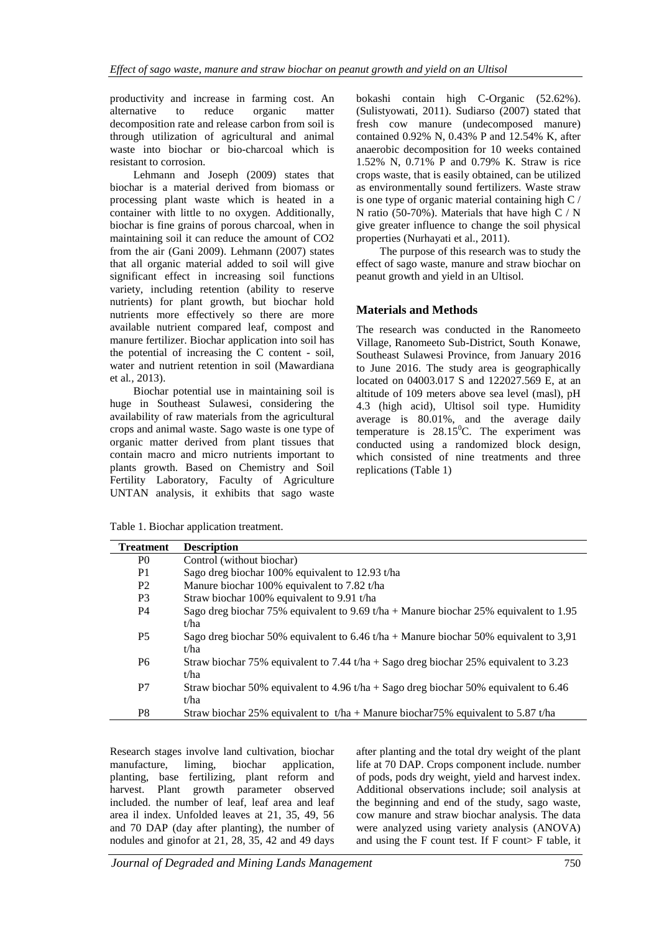productivity and increase in farming cost. An alternative to reduce organic matter decomposition rate and release carbon from soil is through utilization of agricultural and animal waste into biochar or bio-charcoal which is resistant to corrosion.

Lehmann and Joseph (2009) states that biochar is a material derived from biomass or processing plant waste which is heated in a container with little to no oxygen. Additionally, biochar is fine grains of porous charcoal, when in maintaining soil it can reduce the amount of CO2 from the air (Gani 2009). Lehmann (2007) states that all organic material added to soil will give significant effect in increasing soil functions variety, including retention (ability to reserve nutrients) for plant growth, but biochar hold nutrients more effectively so there are more available nutrient compared leaf, compost and manure fertilizer. Biochar application into soil has the potential of increasing the C content - soil, water and nutrient retention in soil (Mawardiana et al*.,* 2013).

Biochar potential use in maintaining soil is huge in Southeast Sulawesi, considering the availability of raw materials from the agricultural crops and animal waste. Sago waste is one type of organic matter derived from plant tissues that contain macro and micro nutrients important to plants growth. Based on Chemistry and Soil Fertility Laboratory, Faculty of Agriculture UNTAN analysis, it exhibits that sago waste bokashi contain high C-Organic (52.62%). (Sulistyowati, 2011). Sudiarso (2007) stated that fresh cow manure (undecomposed manure) contained 0.92% N, 0.43% P and 12.54% K, after anaerobic decomposition for 10 weeks contained 1.52% N, 0.71% P and 0.79% K. Straw is rice crops waste, that is easily obtained, can be utilized as environmentally sound fertilizers. Waste straw is one type of organic material containing high C / N ratio (50-70%). Materials that have high  $C/N$ give greater influence to change the soil physical properties (Nurhayati et al., 2011).

The purpose of this research was to study the effect of sago waste, manure and straw biochar on peanut growth and yield in an Ultisol.

## **Materials and Methods**

The research was conducted in the Ranomeeto Village, Ranomeeto Sub-District, South Konawe, Southeast Sulawesi Province, from January 2016 to June 2016. The study area is geographically located on 04003.017 S and 122027.569 E, at an altitude of 109 meters above sea level (masl), pH 4.3 (high acid), Ultisol soil type. Humidity average is 80.01%, and the average daily temperature is  $28.15^{\circ}$ C. The experiment was conducted using a randomized block design, which consisted of nine treatments and three replications (Table 1)

Table 1. Biochar application treatment.

| <b>Treatment</b> | <b>Description</b>                                                                     |
|------------------|----------------------------------------------------------------------------------------|
| P <sub>0</sub>   | Control (without biochar)                                                              |
| P <sub>1</sub>   | Sago dreg biochar 100% equivalent to 12.93 t/ha                                        |
| P <sub>2</sub>   | Manure biochar 100% equivalent to 7.82 t/ha                                            |
| P <sub>3</sub>   | Straw biochar 100% equivalent to 9.91 t/ha                                             |
| P4               | Sago dreg biochar 75% equivalent to 9.69 t/ha + Manure biochar 25% equivalent to 1.95  |
|                  | t/ha                                                                                   |
| P <sub>5</sub>   | Sago dreg biochar 50% equivalent to 6.46 t/ha + Manure biochar 50% equivalent to 3,91  |
|                  | t/ha                                                                                   |
| P6               | Straw biochar 75% equivalent to 7.44 t/ha + Sago dreg biochar 25% equivalent to 3.23   |
|                  | t/ha                                                                                   |
| P7               | Straw biochar 50% equivalent to $4.96 t/ha + Sago$ dreg biochar 50% equivalent to 6.46 |
|                  | t/ha                                                                                   |
| P8               | Straw biochar 25% equivalent to t/ha + Manure biochar 75% equivalent to 5.87 t/ha      |

Research stages involve land cultivation, biochar manufacture, liming, biochar application, planting, base fertilizing, plant reform and<br>harvest. Plant growth parameter observed Plant growth parameter observed included. the number of leaf, leaf area and leaf area il index. Unfolded leaves at 21, 35, 49, 56 and 70 DAP (day after planting), the number of nodules and ginofor at 21, 28, 35, 42 and 49 days

after planting and the total dry weight of the plant life at 70 DAP. Crops component include. number of pods, pods dry weight, yield and harvest index. Additional observations include; soil analysis at the beginning and end of the study, sago waste, cow manure and straw biochar analysis. The data were analyzed using variety analysis (ANOVA) and using the F count test. If F count> F table, it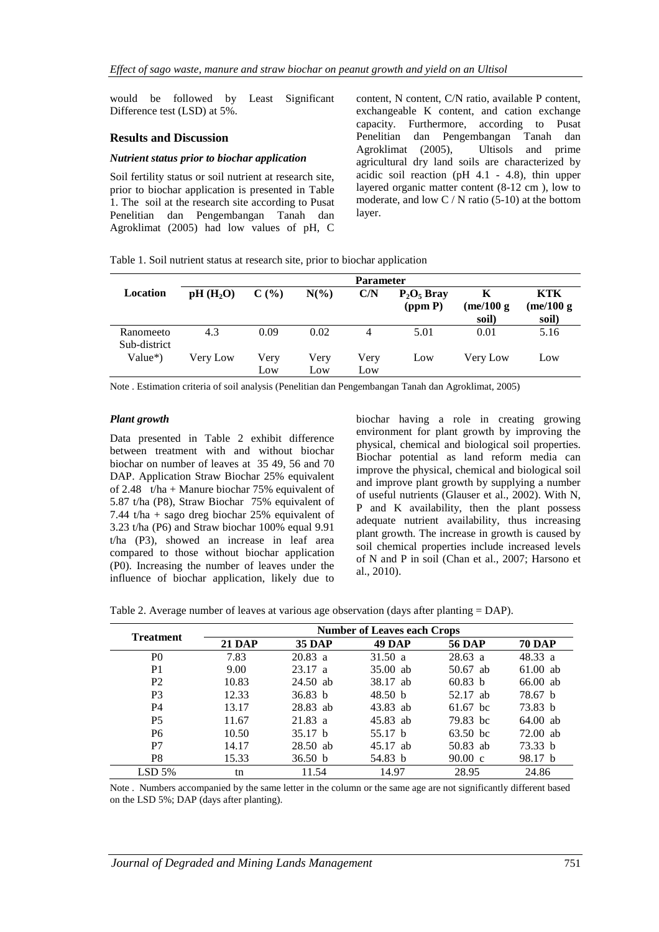would be followed by Least Significant Difference test (LSD) at 5%.

#### **Results and Discussion**

#### *Nutrient status prior to biochar application*

Soil fertility status or soil nutrient at research site, prior to biochar application is presented in Table 1. The soil at the research site according to Pusat Penelitian dan Pengembangan Tanah dan Agroklimat (2005) had low values of pH, C

content, N content, C/N ratio, available P content, exchangeable K content, and cation exchange capacity. Furthermore, according to Pusat Penelitian dan Pengembangan Tanah dan Agroklimat (2005), Ultisols and prime agricultural dry land soils are characterized by acidic soil reaction (pH 4.1 - 4.8), thin upper layered organic matter content (8-12 cm ), low to moderate, and low  $C / N$  ratio (5-10) at the bottom layer.

Table 1. Soil nutrient status at research site, prior to biochar application

|                           |                      |             |             | <b>Parameter</b> |                          |                          |                           |
|---------------------------|----------------------|-------------|-------------|------------------|--------------------------|--------------------------|---------------------------|
| Location                  | pH(H <sub>2</sub> O) | $C(\%)$     | $N(\%)$     | C/N              | $P_2O_5$ Bray<br>(ppm P) | Κ<br>(me/100 g)<br>soil) | KTK<br>(me/100 g<br>soil) |
| Ranomeeto<br>Sub-district | 4.3                  | 0.09        | 0.02        | 4                | 5.01                     | 0.01                     | 5.16                      |
| $Value^*)$                | Very Low             | Very<br>Low | Very<br>Low | Very<br>Low      | Low                      | Very Low                 | Low                       |

Note . Estimation criteria of soil analysis (Penelitian dan Pengembangan Tanah dan Agroklimat, 2005)

#### *Plant growth*

Data presented in Table 2 exhibit difference between treatment with and without biochar biochar on number of leaves at 35 49, 56 and 70 DAP. Application Straw Biochar 25% equivalent of 2.48 t/ha + Manure biochar 75% equivalent of 5.87 t/ha (P8), Straw Biochar 75% equivalent of 7.44 t/ha + sago dreg biochar 25% equivalent of 3.23 t/ha (P6) and Straw biochar 100% equal 9.91 t/ha (P3), showed an increase in leaf area compared to those without biochar application (P0). Increasing the number of leaves under the influence of biochar application, likely due to

biochar having a role in creating growing environment for plant growth by improving the physical, chemical and biological soil properties. Biochar potential as land reform media can improve the physical, chemical and biological soil and improve plant growth by supplying a number of useful nutrients (Glauser et al., 2002). With N, P and K availability, then the plant possess adequate nutrient availability, thus increasing plant growth. The increase in growth is caused by soil chemical properties include increased levels of N and P in soil (Chan et al., 2007; Harsono et al., 2010).

| Table 2. Average number of leaves at various age observation (days after planting = DAP). |  |  |
|-------------------------------------------------------------------------------------------|--|--|
|                                                                                           |  |  |

| <b>Treatment</b> |               |                    | <b>Number of Leaves each Crops</b> |                    |               |
|------------------|---------------|--------------------|------------------------------------|--------------------|---------------|
|                  | <b>21 DAP</b> | <b>35 DAP</b>      | <b>49 DAP</b>                      | <b>56 DAP</b>      | <b>70 DAP</b> |
| P <sub>0</sub>   | 7.83          | $20.83$ a          | 31.50a                             | $28.63$ a          | 48.33 a       |
| P <sub>1</sub>   | 9.00          | 23.17 a            | $35.00$ ab                         | 50.67 ab           | $61.00$ ab    |
| P <sub>2</sub>   | 10.83         | $24.50$ ab         | 38.17 ab                           | 60.83 <sub>b</sub> | $66.00$ ab    |
| P <sub>3</sub>   | 12.33         | 36.83 b            | 48.50 $\,$ b                       | 52.17 ab           | 78.67 b       |
| P4               | 13.17         | 28.83 ab           | 43.83 ab                           | 61.67 bc           | 73.83 b       |
| P <sub>5</sub>   | 11.67         | $21.83$ a          | 45.83 ab                           | 79.83 bc           | $64.00$ ab    |
| P6               | 10.50         | 35.17 <sub>b</sub> | 55.17 b                            | 63.50 bc           | $72.00$ ab    |
| P7               | 14.17         | 28.50 ab           | $45.17$ ab                         | 50.83 ab           | 73.33 b       |
| P8               | 15.33         | 36.50 b            | 54.83 b                            | $90.00 \text{ c}$  | 98.17 b       |
| $LSD$ 5%         | tn            | 11.54              | 14.97                              | 28.95              | 24.86         |

Note . Numbers accompanied by the same letter in the column or the same age are not significantly different based on the LSD 5%; DAP (days after planting).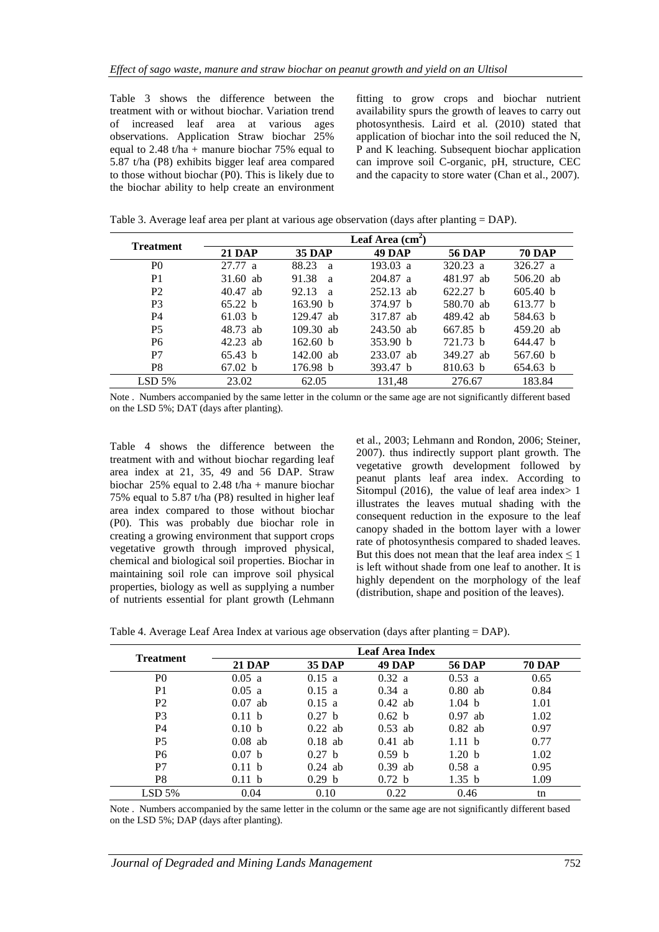Table 3 shows the difference between the treatment with or without biochar. Variation trend of increased leaf area at various ages observations. Application Straw biochar 25% equal to 2.48 t/ha + manure biochar  $75\%$  equal to 5.87 t/ha (P8) exhibits bigger leaf area compared to those without biochar (P0). This is likely due to the biochar ability to help create an environment fitting to grow crops and biochar nutrient availability spurs the growth of leaves to carry out photosynthesis. Laird et al*.* (2010) stated that application of biochar into the soil reduced the N, P and K leaching. Subsequent biochar application can improve soil C-organic, pH, structure, CEC and the capacity to store water (Chan et al., 2007).

|  |  | Table 3. Average leaf area per plant at various age observation (days after planting = DAP). |
|--|--|----------------------------------------------------------------------------------------------|
|  |  |                                                                                              |

| <b>Treatment</b> |               |                       | Leaf Area $(cm2)$  |               |               |
|------------------|---------------|-----------------------|--------------------|---------------|---------------|
|                  | <b>21 DAP</b> | <b>35 DAP</b>         | <b>49 DAP</b>      | <b>56 DAP</b> | <b>70 DAP</b> |
| P <sub>0</sub>   | 27.77a        | 88.23<br>a            | $193.03 \text{ a}$ | $320.23$ a    | 326.27 a      |
| P <sub>1</sub>   | $31.60$ ab    | 91.38<br><sup>a</sup> | $204.87$ a         | 481.97 ab     | $506.20$ ab   |
| P <sub>2</sub>   | 40.47 ab      | 92.13<br><sup>a</sup> | $252.13$ ab        | 622.27 h      | 605.40 b      |
| P <sub>3</sub>   | 65.22 h       | 163.90 b              | 374.97 b           | 580.70 ab     | 613.77 h      |
| P <sub>4</sub>   | 61.03 b       | $129.47$ ab           | 317.87 ab          | 489.42 ab     | 584.63 b      |
| P <sub>5</sub>   | 48.73 ab      | $109.30$ ab           | 243.50 ab          | 667.85 h      | 459.20 ab     |
| P6               | 42.23 ab      | 162.60 b              | 353.90 b           | 721.73 b      | 644.47 b      |
| P7               | 65.43 b       | $142.00$ ab           | 233.07 ab          | 349.27 ab     | 567.60 b      |
| P8               | 67.02 b       | 176.98 b              | 393.47 b           | $810.63 \; b$ | 654.63 b      |
| $LSD$ 5%         | 23.02         | 62.05                 | 131.48             | 276.67        | 183.84        |

Note . Numbers accompanied by the same letter in the column or the same age are not significantly different based on the LSD 5%; DAT (days after planting).

Table 4 shows the difference between the treatment with and without biochar regarding leaf area index at 21, 35, 49 and 56 DAP. Straw biochar 25% equal to 2.48 t/ha + manure biochar 75% equal to 5.87 t/ha (P8) resulted in higher leaf area index compared to those without biochar (P0). This was probably due biochar role in creating a growing environment that support crops vegetative growth through improved physical, chemical and biological soil properties. Biochar in maintaining soil role can improve soil physical properties, biology as well as supplying a number of nutrients essential for plant growth (Lehmann

et al., 2003; Lehmann and Rondon, 2006; Steiner, 2007). thus indirectly support plant growth. The vegetative growth development followed by peanut plants leaf area index. According to Sitompul (2016), the value of leaf area index $> 1$ illustrates the leaves mutual shading with the consequent reduction in the exposure to the leaf canopy shaded in the bottom layer with a lower rate of photosynthesis compared to shaded leaves. But this does not mean that the leaf area index  $\leq 1$ is left without shade from one leaf to another. It is highly dependent on the morphology of the leaf (distribution, shape and position of the leaves).

| Table 4. Average Leaf Area Index at various age observation (days after planting = DAP). |  |  |  |
|------------------------------------------------------------------------------------------|--|--|--|
|                                                                                          |  |  |  |

|                  |               |               | <b>Leaf Area Index</b> |                   |               |
|------------------|---------------|---------------|------------------------|-------------------|---------------|
| <b>Treatment</b> | <b>21 DAP</b> | <b>35 DAP</b> | <b>49 DAP</b>          | <b>56 DAP</b>     | <b>70 DAP</b> |
| P <sub>0</sub>   | 0.05 a        | 0.15 a        | 0.32 a                 | $0.53$ a          | 0.65          |
| P <sub>1</sub>   | 0.05 a        | 0.15 a        | 0.34 a                 | $0.80$ ab         | 0.84          |
| P <sub>2</sub>   | $0.07$ ab     | 0.15 a        | $0.42$ ab              | 1.04 <sub>b</sub> | 1.01          |
| P <sub>3</sub>   | 0.11 h        | 0.27 h        | 0.62 b                 | $0.97$ ab         | 1.02          |
| P4               | 0.10 b        | $0.22$ ab     | $0.53$ ab              | $0.82$ ab         | 0.97          |
| <b>P5</b>        | $0.08$ ab     | $0.18$ ab     | $0.41$ ab              | 1.11 h            | 0.77          |
| P <sub>6</sub>   | 0.07 h        | 0.27 h        | 0.59 <sub>b</sub>      | 1.20 h            | 1.02          |
| P7               | 0.11 h        | $0.24$ ab     | $0.39$ ab              | 0.58a             | 0.95          |
| P8               | 0.11 b        | 0.29 h        | 0.72 <sub>b</sub>      | 1.35 b            | 1.09          |
| $LSD$ 5%         | 0.04          | 0.10          | 0.22                   | 0.46              | tn            |

Note . Numbers accompanied by the same letter in the column or the same age are not significantly different based on the LSD 5%; DAP (days after planting).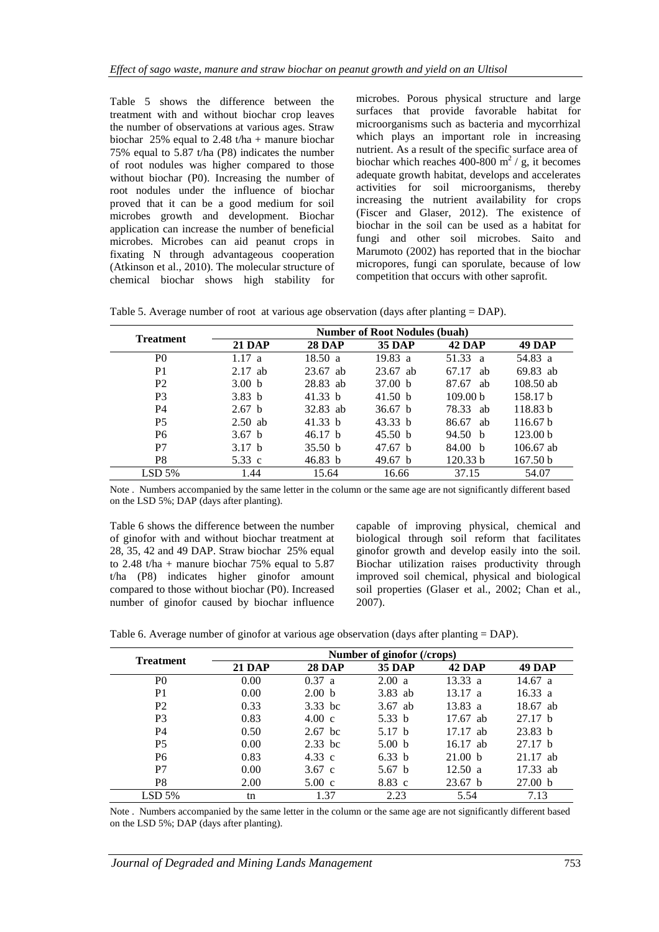Table 5 shows the difference between the treatment with and without biochar crop leaves the number of observations at various ages. Straw biochar 25% equal to 2.48 t/ha + manure biochar 75% equal to 5.87 t/ha (P8) indicates the number of root nodules was higher compared to those without biochar (P0). Increasing the number of root nodules under the influence of biochar proved that it can be a good medium for soil microbes growth and development. Biochar application can increase the number of beneficial microbes. Microbes can aid peanut crops in fixating N through advantageous cooperation (Atkinson et al., 2010). The molecular structure of chemical biochar shows high stability for

microbes. Porous physical structure and large surfaces that provide favorable habitat for microorganisms such as bacteria and mycorrhizal which plays an important role in increasing nutrient. As a result of the specific surface area of biochar which reaches 400-800  $m^2$  / g, it becomes adequate growth habitat, develops and accelerates activities for soil microorganisms, thereby increasing the nutrient availability for crops (Fiscer and Glaser, 2012). The existence of biochar in the soil can be used as a habitat for fungi and other soil microbes. Saito and Marumoto (2002) has reported that in the biochar micropores, fungi can sporulate, because of low competition that occurs with other saprofit.

Table 5. Average number of root at various age observation (days after planting = DAP).

|                  | <b>Number of Root Nodules (buah)</b> |               |                    |                       |                     |  |
|------------------|--------------------------------------|---------------|--------------------|-----------------------|---------------------|--|
| <b>Treatment</b> | <b>21 DAP</b>                        | <b>28 DAP</b> | <b>35 DAP</b>      | <b>42 DAP</b>         | <b>49 DAP</b>       |  |
| P <sub>0</sub>   | 1.17a                                | 18.50a        | 19.83 a            | 51.33<br><sub>a</sub> | 54.83 a             |  |
| P <sub>1</sub>   | $2.17$ ab                            | $23.67$ ab    | $23.67$ ab         | 67.17<br>ab           | 69.83 ab            |  |
| P <sub>2</sub>   | 3.00 <sub>b</sub>                    | 28.83 ab      | 37.00 <sub>b</sub> | 87.67<br>ab           | $108.50$ ab         |  |
| P <sub>3</sub>   | 3.83 <sub>b</sub>                    | 41.33 $b$     | 41.50 $\bar{b}$    | 109.00 <sub>b</sub>   | 158.17 b            |  |
| <b>P4</b>        | 2.67 h                               | 32.83 ab      | 36.67 <sub>b</sub> | 78.33<br>ab           | 118.83 b            |  |
| P <sub>5</sub>   | $2.50$ ab                            | 41.33 $b$     | 43.33 b            | 86.67<br>ab           | 116.67 <sub>b</sub> |  |
| P <sub>6</sub>   | 3.67 h                               | 46.17 h       | 45.50 b            | 94.50 b               | 123.00 <sub>b</sub> |  |
| P7               | 3.17 <sub>b</sub>                    | 35.50 b       | 47.67 b            | 84.00 <sub>b</sub>    | $106.67$ ab         |  |
| P8               | 5.33 c                               | 46.83 b       | 49.67 <sub>b</sub> | 120.33 b              | 167.50 b            |  |
| $LSD$ 5%         | 1.44                                 | 15.64         | 16.66              | 37.15                 | 54.07               |  |

Note . Numbers accompanied by the same letter in the column or the same age are not significantly different based on the LSD 5%; DAP (days after planting).

Table 6 shows the difference between the number of ginofor with and without biochar treatment at 28, 35, 42 and 49 DAP. Straw biochar 25% equal to 2.48 t/ha + manure biochar  $75\%$  equal to  $5.87$ t/ha (P8) indicates higher ginofor amount compared to those without biochar (P0). Increased number of ginofor caused by biochar influence

capable of improving physical, chemical and biological through soil reform that facilitates ginofor growth and develop easily into the soil. Biochar utilization raises productivity through improved soil chemical, physical and biological soil properties (Glaser et al., 2002; Chan et al., 2007).

|                  | Number of ginofor (/crops) |                   |                   |                    |               |  |
|------------------|----------------------------|-------------------|-------------------|--------------------|---------------|--|
| <b>Treatment</b> | <b>21 DAP</b>              | <b>28 DAP</b>     | <b>35 DAP</b>     | <b>42 DAP</b>      | <b>49 DAP</b> |  |
| P <sub>0</sub>   | 0.00                       | 0.37 a            | 2.00 a            | 13.33 a            | 14.67 a       |  |
| P <sub>1</sub>   | 0.00                       | 2.00 <sub>b</sub> | 3.83 ab           | 13.17 a            | 16.33 a       |  |
| P <sub>2</sub>   | 0.33                       | $3.33$ bc         | $3.67$ ab         | $13.83 \text{ a}$  | 18.67 ab      |  |
| P <sub>3</sub>   | 0.83                       | $4.00 \text{ c}$  | 5.33 $b$          | $17.67$ ab         | 27.17 h       |  |
| P <sub>4</sub>   | 0.50                       | $2.67$ bc         | 5.17 h            | $17.17$ ab         | 23.83 b       |  |
| <b>P5</b>        | 0.00                       | $2.33$ bc         | 5.00 <sub>b</sub> | 16.17 ab           | 27.17 h       |  |
| P <sub>6</sub>   | 0.83                       | 4.33 c            | 6.33 b            | 21.00 b            | $21.17$ ab    |  |
| P7               | 0.00                       | $3.67$ c          | 5.67 <sub>b</sub> | 12.50 a            | 17.33 ab      |  |
| P <sub>8</sub>   | 2.00                       | $5.00 \text{ c}$  | $8.83\;c$         | 23.67 <sub>b</sub> | 27.00 b       |  |
| $LSD$ 5%         | tn                         | 1.37              | 2.23              | 5.54               | 7.13          |  |

Note . Numbers accompanied by the same letter in the column or the same age are not significantly different based on the LSD 5%; DAP (days after planting).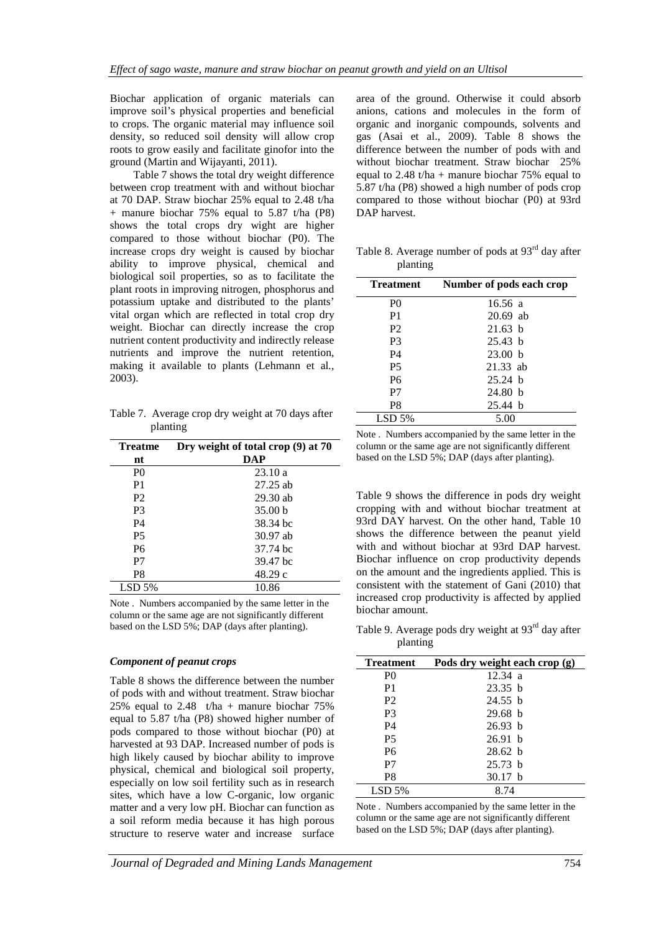Biochar application of organic materials can improve soil's physical properties and beneficial to crops. The organic material may influence soil density, so reduced soil density will allow crop roots to grow easily and facilitate ginofor into the ground (Martin and Wijayanti, 2011).

Table 7 shows the total dry weight difference between crop treatment with and without biochar at 70 DAP. Straw biochar 25% equal to 2.48 t/ha + manure biochar 75% equal to 5.87 t/ha (P8) shows the total crops dry wight are higher compared to those without biochar (P0). The increase crops dry weight is caused by biochar ability to improve physical, chemical and biological soil properties, so as to facilitate the plant roots in improving nitrogen, phosphorus and potassium uptake and distributed to the plants' vital organ which are reflected in total crop dry weight. Biochar can directly increase the crop nutrient content productivity and indirectly release nutrients and improve the nutrient retention, making it available to plants (Lehmann et al*.,* 2003).

Table 7. Average crop dry weight at 70 days after planting

| <b>Treatme</b> | Dry weight of total crop (9) at 70 |
|----------------|------------------------------------|
| nt             | DAP                                |
| P <sub>0</sub> | 23.10a                             |
| P <sub>1</sub> | $27.25$ ab                         |
| P <sub>2</sub> | $29.30$ ab                         |
| P3             | 35.00 <sub>b</sub>                 |
| P4             | 38.34 bc                           |
| P <sub>5</sub> | $30.97$ ab                         |
| P <sub>6</sub> | 37.74 bc                           |
| P7             | 39.47 bc                           |
| P8             | 48.29 c                            |
| $LSD$ 5%       | 10.86                              |

Note . Numbers accompanied by the same letter in the column or the same age are not significantly different based on the LSD 5%; DAP (days after planting).

## *Component of peanut crops*

Table 8 shows the difference between the number of pods with and without treatment. Straw biochar 25% equal to 2.48  $t/ha + manure biochar 75%$ equal to 5.87 t/ha (P8) showed higher number of pods compared to those without biochar (P0) at harvested at 93 DAP. Increased number of pods is high likely caused by biochar ability to improve physical, chemical and biological soil property, especially on low soil fertility such as in research sites, which have a low C-organic, low organic matter and a very low pH. Biochar can function as a soil reform media because it has high porous structure to reserve water and increase surface

area of the ground. Otherwise it could absorb anions, cations and molecules in the form of organic and inorganic compounds, solvents and gas (Asai et al., 2009). Table 8 shows the difference between the number of pods with and without biochar treatment. Straw biochar 25% equal to 2.48 t/ha + manure biochar  $75%$  equal to 5.87 t/ha (P8) showed a high number of pods crop compared to those without biochar (P0) at 93rd DAP harvest.

Table 8. Average number of pods at 93<sup>rd</sup> day after planting

| Treatment      | Number of pods each crop |  |  |  |  |
|----------------|--------------------------|--|--|--|--|
| P <sub>0</sub> | 16.56a                   |  |  |  |  |
| P <sub>1</sub> | $20.69$ ab               |  |  |  |  |
| P <sub>2</sub> | 21.63 h                  |  |  |  |  |
| P3             | 25.43 h                  |  |  |  |  |
| P4             | 23.00 <sub>b</sub>       |  |  |  |  |
| P <sub>5</sub> | $21.33$ ab               |  |  |  |  |
| P <sub>6</sub> | 25.24 h                  |  |  |  |  |
| P7             | 24.80h                   |  |  |  |  |
| P8             | 25.44 b                  |  |  |  |  |
| $LSD$ 5%       | 5.00                     |  |  |  |  |

Note . Numbers accompanied by the same letter in the column or the same age are not significantly different based on the LSD 5%; DAP (days after planting).

Table 9 shows the difference in pods dry weight cropping with and without biochar treatment at 93rd DAY harvest. On the other hand, Table 10 shows the difference between the peanut yield with and without biochar at 93rd DAP harvest. Biochar influence on crop productivity depends on the amount and the ingredients applied. This is consistent with the statement of Gani (2010) that increased crop productivity is affected by applied biochar amount.

Table 9. Average pods dry weight at 93<sup>rd</sup> day after planting

| <b>Treatment</b> | Pods dry weight each crop (g) |
|------------------|-------------------------------|
| P <sub>0</sub>   | 12.34 a                       |
| P <sub>1</sub>   | 23.35 <sub>b</sub>            |
| P <sub>2</sub>   | 24.55 b                       |
| P <sub>3</sub>   | 29.68 <sub>b</sub>            |
| P <sub>4</sub>   | 26.93 h                       |
| P <sub>5</sub>   | 26.91 h                       |
| P6               | 28.62 h                       |
| P7               | 25.73 h                       |
| P8               | 30.17 <sub>b</sub>            |
| $LSD$ 5%         | 8.74                          |

Note . Numbers accompanied by the same letter in the column or the same age are not significantly different based on the LSD 5%; DAP (days after planting).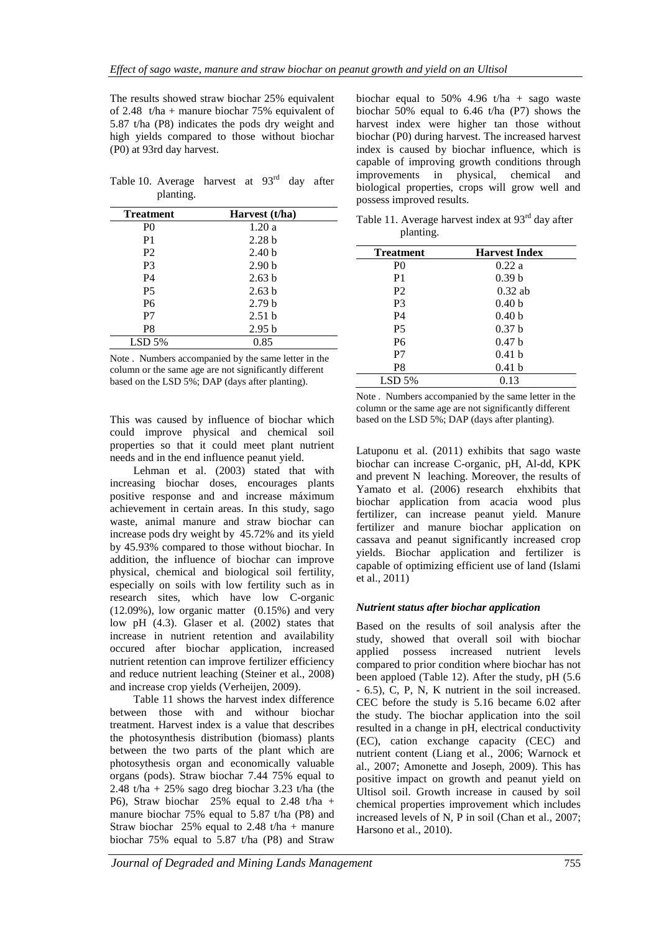The results showed straw biochar 25% equivalent of 2.48 t/ha + manure biochar 75% equivalent of 5.87 t/ha (P8) indicates the pods dry weight and high yields compared to those without biochar (P0) at 93rd day harvest.

Table 10. Average harvest at  $93<sup>rd</sup>$  day after planting.

| <b>Treatment</b> | Harvest (t/ha)    |  |
|------------------|-------------------|--|
| P <sub>0</sub>   | 1.20a             |  |
| P <sub>1</sub>   | 2.28 <sub>b</sub> |  |
| P <sub>2</sub>   | 2.40 <sub>b</sub> |  |
| P3               | 2.90 <sub>b</sub> |  |
| P4               | 2.63 <sub>b</sub> |  |
| <b>P5</b>        | 2.63h             |  |
| P <sub>6</sub>   | 2.79 <sub>b</sub> |  |
| P7               | 2.51 <sub>b</sub> |  |
| P8               | 2.95 <sub>b</sub> |  |
| $LSD$ 5%         | 0.85              |  |

Note . Numbers accompanied by the same letter in the column or the same age are not significantly different based on the LSD 5%; DAP (days after planting).

This was caused by influence of biochar which could improve physical and chemical soil properties so that it could meet plant nutrient needs and in the end influence peanut yield.

Lehman et al. (2003) stated that with increasing biochar doses, encourages plants positive response and and increase máximum achievement in certain areas. In this study, sago waste, animal manure and straw biochar can increase pods dry weight by 45.72% and its yield by 45.93% compared to those without biochar. In addition, the influence of biochar can improve physical, chemical and biological soil fertility, especially on soils with low fertility such as in research sites, which have low C-organic (12.09%), low organic matter (0.15%) and very low pH (4.3). Glaser et al. (2002) states that increase in nutrient retention and availability occured after biochar application, increased nutrient retention can improve fertilizer efficiency and reduce nutrient leaching (Steiner et al., 2008) and increase crop yields (Verheijen, 2009).

Table 11 shows the harvest index difference between those with and withour biochar treatment. Harvest index is a value that describes the photosynthesis distribution (biomass) plants between the two parts of the plant which are photosythesis organ and economically valuable organs (pods). Straw biochar 7.44 75% equal to 2.48 t/ha  $+ 25\%$  sago dreg biochar 3.23 t/ha (the P6), Straw biochar 25% equal to 2.48 t/ha + manure biochar 75% equal to 5.87 t/ha (P8) and Straw biochar 25% equal to 2.48 t/ha + manure biochar 75% equal to 5.87 t/ha (P8) and Straw

biochar equal to 50% 4.96 t/ha + sago waste biochar 50% equal to 6.46 t/ha (P7) shows the harvest index were higher tan those without biochar (P0) during harvest. The increased harvest index is caused by biochar influence, which is capable of improving growth conditions through improvements in physical, chemical and biological properties, crops will grow well and possess improved results.

Table 11. Average harvest index at 93<sup>rd</sup> day after planting.

| <b>Treatment</b> | <b>Harvest Index</b> |
|------------------|----------------------|
| P <sub>0</sub>   | 0.22a                |
| P1               | 0.39 <sub>b</sub>    |
| P <sub>2</sub>   | $0.32$ ab            |
| P <sub>3</sub>   | 0.40 <sub>b</sub>    |
| P4               | 0.40 <sub>b</sub>    |
| <b>P5</b>        | 0.37 <sub>b</sub>    |
| P <sub>6</sub>   | 0.47 <sub>b</sub>    |
| P7               | 0.41 <sub>b</sub>    |
| P8               | 0.41 <sub>b</sub>    |
| $LSD$ 5%         | 0.13                 |

Note . Numbers accompanied by the same letter in the column or the same age are not significantly different based on the LSD 5%; DAP (days after planting).

Latuponu et al. (2011) exhibits that sago waste biochar can increase C-organic, pH, Al-dd, KPK and prevent N leaching. Moreover, the results of Yamato et al. (2006) research ehxhibits that biochar application from acacia wood plus fertilizer, can increase peanut yield. Manure fertilizer and manure biochar application on cassava and peanut significantly increased crop yields. Biochar application and fertilizer is capable of optimizing efficient use of land (Islami et al., 2011)

## *Nutrient status after biochar application*

Based on the results of soil analysis after the study, showed that overall soil with biochar applied possess increased nutrient levels compared to prior condition where biochar has not been apploed (Table 12). After the study, pH (5.6 - 6.5), C, P, N, K nutrient in the soil increased. CEC before the study is 5.16 became 6.02 after the study. The biochar application into the soil resulted in a change in pH, electrical conductivity (EC), cation exchange capacity (CEC) and nutrient content (Liang et al., 2006; Warnock et al., 2007; Amonette and Joseph, 2009). This has positive impact on growth and peanut yield on Ultisol soil. Growth increase in caused by soil chemical properties improvement which includes increased levels of N, P in soil (Chan et al., 2007; Harsono et al., 2010).

*Journal of Degraded and Mining Lands Management* 755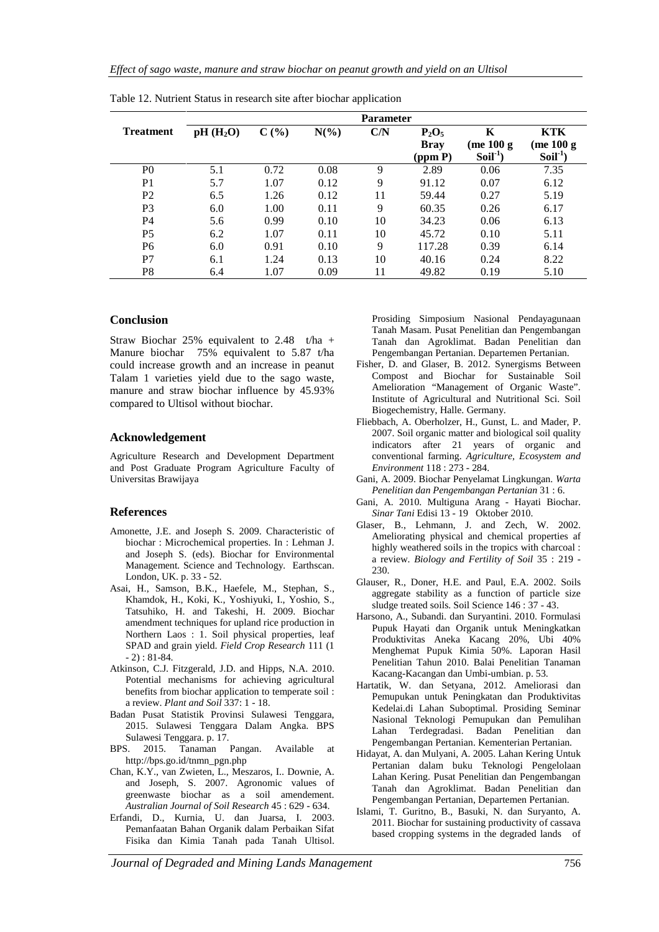|                  | <b>Parameter</b>     |      |         |     |                         |                  |                  |  |
|------------------|----------------------|------|---------|-----|-------------------------|------------------|------------------|--|
| <b>Treatment</b> | pH(H <sub>2</sub> O) | C(%) | $N(\%)$ | C/N | $P_2O_5$<br><b>Bray</b> | K<br>(me $100 g$ | KTK<br>(me 100 g |  |
|                  |                      |      |         |     | (ppm P)                 | $Soil-1$         | $Soil-1$         |  |
| P <sub>0</sub>   | 5.1                  | 0.72 | 0.08    | 9   | 2.89                    | 0.06             | 7.35             |  |
| P <sub>1</sub>   | 5.7                  | 1.07 | 0.12    | 9   | 91.12                   | 0.07             | 6.12             |  |
| P <sub>2</sub>   | 6.5                  | 1.26 | 0.12    | 11  | 59.44                   | 0.27             | 5.19             |  |
| P <sub>3</sub>   | 6.0                  | 1.00 | 0.11    | 9   | 60.35                   | 0.26             | 6.17             |  |
| P4               | 5.6                  | 0.99 | 0.10    | 10  | 34.23                   | 0.06             | 6.13             |  |
| P <sub>5</sub>   | 6.2                  | 1.07 | 0.11    | 10  | 45.72                   | 0.10             | 5.11             |  |
| P <sub>6</sub>   | 6.0                  | 0.91 | 0.10    | 9   | 117.28                  | 0.39             | 6.14             |  |
| P7               | 6.1                  | 1.24 | 0.13    | 10  | 40.16                   | 0.24             | 8.22             |  |
| P <sub>8</sub>   | 6.4                  | 1.07 | 0.09    | 11  | 49.82                   | 0.19             | 5.10             |  |

Table 12. Nutrient Status in research site after biochar application

#### **Conclusion**

Straw Biochar 25% equivalent to 2.48 t/ha + Manure biochar 75% equivalent to 5.87 t/ha could increase growth and an increase in peanut Talam 1 varieties yield due to the sago waste, manure and straw biochar influence by 45.93% compared to Ultisol without biochar.

#### **Acknowledgement**

Agriculture Research and Development Department and Post Graduate Program Agriculture Faculty of Universitas Brawijaya

#### **References**

- Amonette, J.E. and Joseph S. 2009. Characteristic of biochar : Microchemical properties. In : Lehman J. and Joseph S. (eds). Biochar for Environmental Management*.* Science and Technology*.* Earthscan. London, UK. p. 33 - 52.
- Asai, H., Samson, B.K., Haefele, M., Stephan, S., Khamdok, H., Koki, K., Yoshiyuki, I., Yoshio, S., Tatsuhiko, H. and Takeshi, H. 2009. Biochar amendment techniques for upland rice production in Northern Laos : 1. Soil physical properties, leaf SPAD and grain yield. *Field Crop Research* 111 (1 - 2) : 81-84.
- Atkinson, C.J. Fitzgerald, J.D. and Hipps, N.A. 2010. Potential mechanisms for achieving agricultural benefits from biochar application to temperate soil : a review. *Plant and Soil* 337: 1 - 18.
- Badan Pusat Statistik Provinsi Sulawesi Tenggara, 2015. Sulawesi Tenggara Dalam Angka. BPS Sulawesi Tenggara. p. 17.
- BPS. 2015. Tanaman Pangan. Available at [http://bps.go.id/tnmn\\_pgn.php](http://bps.go.id/tnmn_pgn.php)
- Chan, K.Y., van Zwieten, L., Meszaros, I.. Downie, A. and Joseph, S. 2007. Agronomic values of greenwaste biochar as a soil amendement. *Australian Journal of Soil Research* 45 : 629 - 634.
- Erfandi, D., Kurnia, U. dan Juarsa, I. 2003. Pemanfaatan Bahan Organik dalam Perbaikan Sifat Fisika dan Kimia Tanah pada Tanah Ultisol.

Prosiding Simposium Nasional Pendayagunaan Tanah Masam. Pusat Penelitian dan Pengembangan Tanah dan Agroklimat. Badan Penelitian dan Pengembangan Pertanian. Departemen Pertanian.

- Fisher, D. and Glaser, B. 2012. Synergisms Between Compost and Biochar for Sustainable Soil Amelioration "Management of Organic Waste". Institute of Agricultural and Nutritional Sci. Soil Biogechemistry, Halle. Germany.
- Fliebbach, A. Oberholzer, H., Gunst, L. and Mader, P. 2007. Soil organic matter and biological soil quality indicators after 21 years of organic and conventional farming. *Agriculture, Ecosystem and Environment* 118 : 273 - 284.
- Gani, A. 2009. Biochar Penyelamat Lingkungan. *Warta Penelitian dan Pengembangan Pertanian* 31 : 6.
- Gani, A. 2010. Multiguna Arang Hayati Biochar. *Sinar Tani* Edisi 13 - 19 Oktober 2010.
- Glaser, B., Lehmann, J. and Zech, W. 2002. Ameliorating physical and chemical properties af highly weathered soils in the tropics with charcoal : a review. *Biology and Fertility of Soil* 35 : 219 - 230.
- Glauser, R., Doner, H.E. and Paul, E.A. 2002. Soils aggregate stability as a function of particle size sludge treated soils. Soil Science 146 : 37 - 43.
- Harsono, A., Subandi. dan Suryantini. 2010. Formulasi Pupuk Hayati dan Organik untuk Meningkatkan Produktivitas Aneka Kacang 20%, Ubi 40% Menghemat Pupuk Kimia 50%. Laporan Hasil Penelitian Tahun 2010. Balai Penelitian Tanaman Kacang-Kacangan dan Umbi-umbian. p. 53.
- Hartatik, W. dan Setyana, 2012. Ameliorasi dan Pemupukan untuk Peningkatan dan Produktivitas Kedelai.di Lahan Suboptimal. Prosiding Seminar Nasional Teknologi Pemupukan dan Pemulihan Lahan Terdegradasi. Badan Penelitian dan Pengembangan Pertanian. Kementerian Pertanian.
- Hidayat, A. dan Mulyani, A. 2005. Lahan Kering Untuk Pertanian dalam buku Teknologi Pengelolaan Lahan Kering. Pusat Penelitian dan Pengembangan Tanah dan Agroklimat. Badan Penelitian dan Pengembangan Pertanian, Departemen Pertanian.
- Islami, T. Guritno, B., Basuki, N. dan Suryanto, A. 2011. Biochar for sustaining productivity of cassava based cropping systems in the degraded lands of

*Journal of Degraded and Mining Lands Management* 756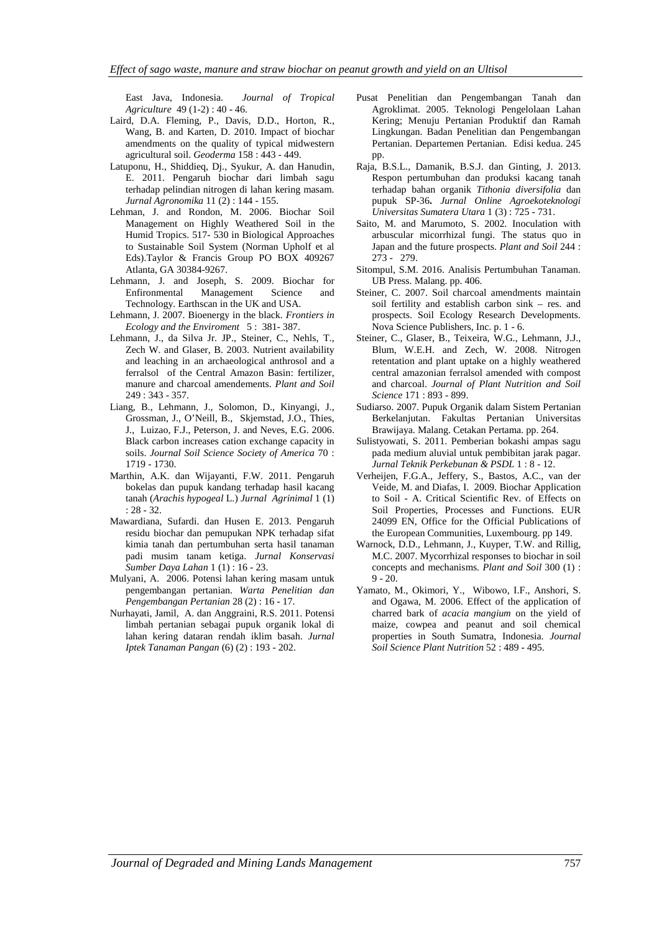East Java, Indonesia. *Journal of Tropical Agriculture* 49 (1-2) : 40 - 46.

- Laird, D.A. Fleming, P., Davis, D.D., Horton, R., Wang, B. and Karten, D. 2010. Impact of biochar amendments on the quality of typical midwestern agricultural soil. *Geoderma* 158 : 443 - 449.
- Latuponu, H., Shiddieq, Dj., Syukur, A. dan Hanudin, E. 2011. Pengaruh biochar dari limbah sagu terhadap pelindian nitrogen di lahan kering masam. *Jurnal Agronomika* 11 (2) : 144 - 155.
- Lehman, J. and Rondon, M. 2006. Biochar Soil Management on Highly Weathered Soil in the Humid Tropics. 517- 530 in Biological Approaches to Sustainable Soil System (Norman Upholf et al Eds).Taylor & Francis Group PO BOX 409267 Atlanta, GA 30384-9267.
- Lehmann, J. and Joseph, S. 2009. Biochar for Enfironmental Management Science and Technology. Earthscan in the UK and USA.
- Lehmann, J. 2007. Bioenergy in the black. *Frontiers in Ecology and the Enviroment* 5 : 381- 387.
- Lehmann, J., da Silva Jr. JP., Steiner, C., Nehls, T., Zech W. and Glaser, B. 2003. Nutrient availability and leaching in an archaeological anthrosol and a ferralsol of the Central Amazon Basin: fertilizer, manure and charcoal amendements. *Plant and Soil* 249 : 343 - 357.
- Liang, B., Lehmann, J., Solomon, D., Kinyangi, J., Grossman, J., O'Neill, B., Skjemstad, J.O., Thies, J., Luizao, F.J., Peterson, J. and Neves, E.G. 2006. Black carbon increases cation exchange capacity in soils. *Journal Soil Science Society of America* 70 : 1719 - 1730.
- Marthin, A.K. dan Wijayanti, F.W. 2011. Pengaruh bokelas dan pupuk kandang terhadap hasil kacang tanah (*Arachis hypogeal* L.) *Jurnal Agrinimal* 1 (1) : 28 - 32.
- Mawardiana, Sufardi. dan Husen E. 2013. Pengaruh residu biochar dan pemupukan NPK terhadap sifat kimia tanah dan pertumbuhan serta hasil tanaman padi musim tanam ketiga. *Jurnal Konservasi Sumber Daya Lahan* 1 (1) : 16 - 23.
- Mulyani, A. 2006. Potensi lahan kering masam untuk pengembangan pertanian. *Warta Penelitian dan Pengembangan Pertanian* 28 (2) : 16 - 17.
- Nurhayati, Jamil, A. dan Anggraini, R.S. 2011. Potensi limbah pertanian sebagai pupuk organik lokal di lahan kering dataran rendah iklim basah. *Jurnal Iptek Tanaman Pangan* (6) (2) : 193 - 202.
- Pusat Penelitian dan Pengembangan Tanah dan Agroklimat. 2005. Teknologi Pengelolaan Lahan Kering; Menuju Pertanian Produktif dan Ramah Lingkungan. Badan Penelitian dan Pengembangan Pertanian. Departemen Pertanian. Edisi kedua. 245 pp.
- Raja, B.S.L., Damanik, B.S.J. dan Ginting, J. 2013. Respon pertumbuhan dan produksi kacang tanah terhadap bahan organik *Tithonia diversifolia* dan pupuk SP-36**.** *Jurnal Online Agroekoteknologi Universitas Sumatera Utara* 1 (3) : 725 - 731.
- Saito, M. and Marumoto, S. 2002. Inoculation with arbuscular micorrhizal fungi. The status quo in Japan and the future prospects. *Plant and Soil* 244 : 273 - 279.
- Sitompul, S.M. 2016. Analisis Pertumbuhan Tanaman. UB Press. Malang. pp. 406.
- Steiner, C. 2007. Soil charcoal amendments maintain soil fertility and establish carbon sink – res. and prospects. Soil Ecology Research Developments. Nova Science Publishers, Inc. p. 1 - 6.
- Steiner, C., Glaser, B., Teixeira, W.G., Lehmann, J.J., Blum, W.E.H. and Zech, W. 2008. Nitrogen retentation and plant uptake on a highly weathered central amazonian ferralsol amended with compost and charcoal. *Journal of Plant Nutrition and Soil Science* 171 : 893 - 899.
- Sudiarso. 2007. Pupuk Organik dalam Sistem Pertanian Berkelanjutan. Fakultas Pertanian Universitas Brawijaya. Malang. Cetakan Pertama. pp. 264.
- Sulistyowati, S. 2011. Pemberian bokashi ampas sagu pada medium aluvial untuk pembibitan jarak pagar. *Jurnal Teknik Perkebunan & PSDL* 1 : 8 - 12.
- Verheijen, F.G.A., Jeffery, S., Bastos, A.C., van der Veide, M. and Diafas, I. 2009. Biochar Application to Soil - A. Critical Scientific Rev. of Effects on Soil Properties, Processes and Functions. EUR 24099 EN, Office for the Official Publications of the European Communities, Luxembourg. pp 149.
- Warnock, D.D., Lehmann, J., Kuyper, T.W. and Rillig, M.C. 2007. Mycorrhizal responses to biochar in soil concepts and mechanisms. *Plant and Soil* 300 (1) :  $9 - 20.$
- Yamato, M., Okimori, Y., Wibowo, I.F., Anshori, S. and Ogawa, M. 2006. Effect of the application of charred bark of *acacia mangium* on the yield of maize, cowpea and peanut and soil chemical properties in South Sumatra, Indonesia. *Journal Soil Science Plant Nutrition* 52 : 489 - 495.